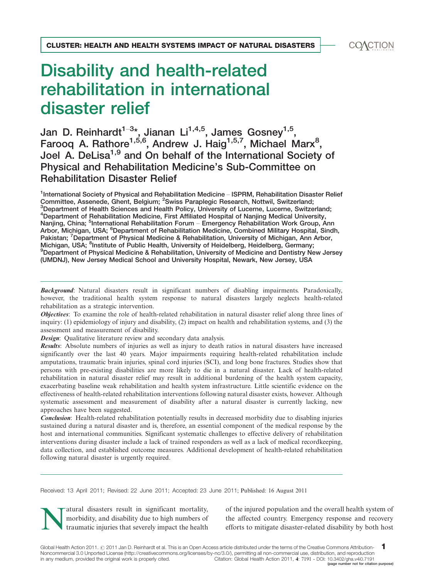**COACTION** 

# Disability and health-related rehabilitation in international disaster relief CLUSTER: HEALTH AND HEALTH SYSTEMS IMPACT OF NATURAL DISASTERS<br>Disability and health-related<br>rehabilitation in international<br>disaster relief

Jan D. Reinhardt $^{1-3*}$  $^{1-3*}$  $^{1-3*}$ , Jianan Li $^{1,4,5}$ , James Gosney $^{1,5}$ , Farooq A. Rathore<sup>1,5,6</sup>, Andrew J. Haig<sup>1,5,7</sup>, Michael Marx<sup>8</sup>, Joel A. DeLisa<sup>1,9</sup> and On behalf of the International Society of Physical and Rehabilitation Medicine's Sub-Committee on Rehabilitation Disaster Relief

<sup>1</sup>International Society of Physical and Rehabilitation Medicine - ISPRM, Rehabilitation Disaster Relief Committee, Assenede, Ghent, Belgium; <sup>2</sup>Swiss Paraplegic Research, Nottwil, Switzerland;<br><sup>3</sup>Department of Health Sciences and Health Policy, University of Lucerne, Lucerne, Switze  ${}^{3}$ Department of Health Sciences and Health Policy, University of Lucerne, Lucerne, Switzerland; <sup>4</sup>Department of Rehabilitation Medicine, First Affiliated Hospital of Nanjing Medical University, Nanjing, China; <sup>5</sup>International Rehabilitation Forum – Emergency Rehabilitation Work Group, Ann Arbor, Michigan, USA; <sup>6</sup>Department of Rehabilitation Medicine, Combined Military Hospital, Sindh, Pakistan; <sup>7</sup>Department of Physical Medicine & Rehabilitation, University of Michigan, Ann Arbor, Michigan, USA; <sup>8</sup>Institute of Public Health, University of Heidelberg, Heidelberg, Germany;<br><sup>9</sup>Department of Physical Modicine & Pohobilitation, University of Modicine and Deptistry Na <sup>9</sup> Department of Physical Medicine & Rehabilitation, University of Medicine and Dentistry New Jersey (UMDNJ), New Jersey Medical School and University Hospital, Newark, New Jersey, USA

Background: Natural disasters result in significant numbers of disabling impairments. Paradoxically, however, the traditional health system response to natural disasters largely neglects health-related rehabilitation as a strategic intervention.

**Objectives:** To examine the role of health-related rehabilitation in natural disaster relief along three lines of inquiry: (1) epidemiology of injury and disability, (2) impact on health and rehabilitation systems, and (3) the assessment and measurement of disability.

**Design:** Qualitative literature review and secondary data analysis.

Results: Absolute numbers of injuries as well as injury to death ratios in natural disasters have increased significantly over the last 40 years. Major impairments requiring health-related rehabilitation include amputations, traumatic brain injuries, spinal cord injuries (SCI), and long bone fractures. Studies show that persons with pre-existing disabilities are more likely to die in a natural disaster. Lack of health-related rehabilitation in natural disaster relief may result in additional burdening of the health system capacity, exacerbating baseline weak rehabilitation and health system infrastructure. Little scientific evidence on the effectiveness of health-related rehabilitation interventions following natural disaster exists, however. Although systematic assessment and measurement of disability after a natural disaster is currently lacking, new approaches have been suggested.

Conclusion: Health-related rehabilitation potentially results in decreased morbidity due to disabling injuries sustained during a natural disaster and is, therefore, an essential component of the medical response by the host and international communities. Significant systematic challenges to effective delivery of rehabilitation interventions during disaster include a lack of trained responders as well as a lack of medical recordkeeping, data collection, and established outcome measures. Additional development of health-related rehabilitation following natural disaster is urgently required.

Received: 13 April 2011; Revised: 22 June 2011; Accepted: 23 June 2011; Published: 16 August 2011

Matural disasters result in significant mortality, morbidity, and disability due to high numbers of traumatic injuries that severely impact the health morbidity, and disability due to high numbers of traumatic injuries that severely impact the health

of the injured population and the overall health system of the affected country. Emergency response and recovery efforts to mitigate disaster-related disability by both host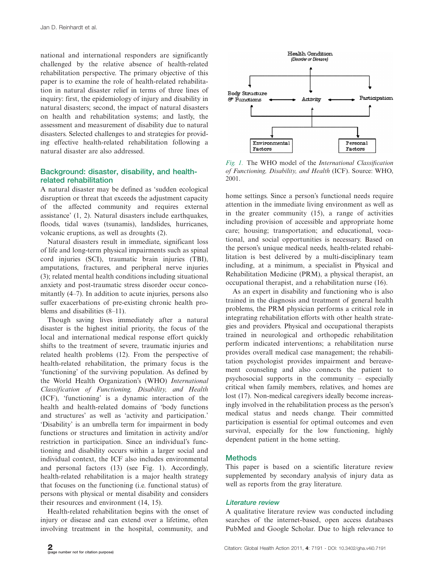national and international responders are significantly challenged by the relative absence of health-related rehabilitation perspective. The primary objective of this paper is to examine the role of health-related rehabilitation in natural disaster relief in terms of three lines of inquiry: first, the epidemiology of injury and disability in natural disasters; second, the impact of natural disasters on health and rehabilitation systems; and lastly, the assessment and measurement of disability due to natural disasters. Selected challenges to and strategies for providing effective health-related rehabilitation following a natural disaster are also addressed.

# Background: disaster, disability, and healthrelated rehabilitation

A natural disaster may be defined as 'sudden ecological disruption or threat that exceeds the adjustment capacity of the affected community and requires external assistance' (1, 2). Natural disasters include earthquakes, floods, tidal waves (tsunamis), landslides, hurricanes, volcanic eruptions, as well as droughts (2).

Natural disasters result in immediate, significant loss of life and long-term physical impairments such as spinal cord injuries (SCI), traumatic brain injuries (TBI), amputations, fractures, and peripheral nerve injuries (3); related mental health conditions including situational anxiety and post-traumatic stress disorder occur concomitantly  $(4-7)$ . In addition to acute injuries, persons also suffer exacerbations of pre-existing chronic health problems and disabilities  $(8-11)$ .

Though saving lives immediately after a natural disaster is the highest initial priority, the focus of the local and international medical response effort quickly shifts to the treatment of severe, traumatic injuries and related health problems (12). From the perspective of health-related rehabilitation, the primary focus is the 'functioning' of the surviving population. As defined by the World Health Organization's (WHO) International Classification of Functioning, Disability, and Health (ICF), 'functioning' is a dynamic interaction of the health and health-related domains of 'body functions and structures' as well as 'activity and participation.' 'Disability' is an umbrella term for impairment in body functions or structures and limitation in activity and/or restriction in participation. Since an individual's functioning and disability occurs within a larger social and individual context, the ICF also includes environmental and personal factors (13) (see Fig. 1). Accordingly, health-related rehabilitation is a major health strategy that focuses on the functioning (i.e. functional status) of persons with physical or mental disability and considers their resources and environment (14, 15).

Health-related rehabilitation begins with the onset of injury or disease and can extend over a lifetime, often involving treatment in the hospital, community, and



Fig. 1. The WHO model of the International Classification of Functioning, Disability, and Health (ICF). Source: WHO, 2001.

home settings. Since a person's functional needs require attention in the immediate living environment as well as in the greater community (15), a range of activities including provision of accessible and appropriate home care; housing; transportation; and educational, vocational, and social opportunities is necessary. Based on the person's unique medical needs, health-related rehabilitation is best delivered by a multi-disciplinary team including, at a minimum, a specialist in Physical and Rehabilitation Medicine (PRM), a physical therapist, an occupational therapist, and a rehabilitation nurse (16).

As an expert in disability and functioning who is also trained in the diagnosis and treatment of general health problems, the PRM physician performs a critical role in integrating rehabilitation efforts with other health strategies and providers. Physical and occupational therapists trained in neurological and orthopedic rehabilitation perform indicated interventions; a rehabilitation nurse provides overall medical case management; the rehabilitation psychologist provides impairment and bereavement counseling and also connects the patient to psychosocial supports in the community  $-$  especially critical when family members, relatives, and homes are lost (17). Non-medical caregivers ideally become increasingly involved in the rehabilitation process as the person's medical status and needs change. Their committed participation is essential for optimal outcomes and even survival, especially for the low functioning, highly dependent patient in the home setting.

## **Methods**

This paper is based on a scientific literature review supplemented by secondary analysis of injury data as well as reports from the gray literature.

#### Literature review

A qualitative literature review was conducted including searches of the internet-based, open access databases PubMed and Google Scholar. Due to high relevance to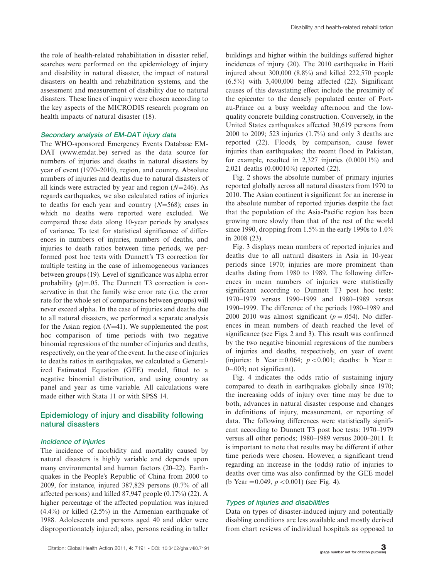the role of health-related rehabilitation in disaster relief, searches were performed on the epidemiology of injury and disability in natural disaster, the impact of natural disasters on health and rehabilitation systems, and the assessment and measurement of disability due to natural disasters. These lines of inquiry were chosen according to the key aspects of the MICRODIS research program on health impacts of natural disaster (18).

### Secondary analysis of EM-DAT injury data

The WHO-sponsored Emergency Events Database EM-DAT [\(www.emdat.be\) served as the data source for](http://www.emdat.be) [numbers of injuries and deaths in natural disasters by](http://www.emdat.be) [year of event \(1970](http://www.emdat.be)–[2010\), region, and country. Absolute](http://www.emdat.be) [numbers of injuries and deaths due to natural disasters of](http://www.emdat.be) all kinds were extracted by year and region  $(N=246)$ . As [regards earthquakes, we also calculated ratios of injuries](http://www.emdat.be) to deaths for each year and country  $(N=568)$ ; cases in [which no deaths were reported were excluded. We](http://www.emdat.be) [compared these data along 10-year periods by analyses](http://www.emdat.be) [of variance. To test for statistical significance of differ](http://www.emdat.be)[ences in numbers of injuries, numbers of deaths, and](http://www.emdat.be) [injuries to death ratios between time periods, we per](http://www.emdat.be)[formed post hoc tests with Dunnett's T3 correction for](http://www.emdat.be) [multiple testing in the case of inhomogeneous variances](http://www.emdat.be) [between groups \(19\). Level of significance was alpha error](http://www.emdat.be) probability  $(p)=0.05$ . The Dunnett T3 correction is con[servative in that the family wise error rate \(i.e. the error](http://www.emdat.be) [rate for the whole set of comparisons between groups\) will](http://www.emdat.be) [never exceed alpha. In the case of injuries and deaths due](http://www.emdat.be) [to all natural disasters, we performed a separate analysis](http://www.emdat.be) for the Asian region  $(N=41)$ . We supplemented the post [hoc comparison of time periods with two negative](http://www.emdat.be) [binomial regressions of the number of injuries and deaths,](http://www.emdat.be) [respectively, on the year of the event. In the case of injuries](http://www.emdat.be) [to deaths ratios in earthquakes, we calculated a General](http://www.emdat.be)[ized Estimated Equation \(GEE\) model, fitted to a](http://www.emdat.be) [negative binomial distribution, and using country as](http://www.emdat.be) [panel and year as time variable. All calculations were](http://www.emdat.be) [made either with Stata 11 or with SPSS 14.](http://www.emdat.be)

# Epidemiology of injury and disability following natural disasters

## Incidence of injuries

The incidence of morbidity and mortality caused by natural disasters is highly variable and depends upon many environmental and human factors  $(20-22)$ . Earthquakes in the People's Republic of China from 2000 to 2009, for instance, injured 387,829 persons (0.7% of all affected persons) and killed 87,947 people (0.17%) (22). A higher percentage of the affected population was injured (4.4%) or killed (2.5%) in the Armenian earthquake of 1988. Adolescents and persons aged 40 and older were disproportionately injured; also, persons residing in taller buildings and higher within the buildings suffered higher incidences of injury (20). The 2010 earthquake in Haiti injured about 300,000 (8.8%) and killed 222,570 people  $(6.5\%)$  with 3,400,000 being affected  $(22)$ . Significant causes of this devastating effect include the proximity of the epicenter to the densely populated center of Portau-Prince on a busy weekday afternoon and the lowquality concrete building construction. Conversely, in the United States earthquakes affected 30,619 persons from 2000 to 2009; 523 injuries (1.7%) and only 3 deaths are reported (22). Floods, by comparison, cause fewer injuries than earthquakes; the recent flood in Pakistan, for example, resulted in 2,327 injuries (0.00011%) and 2,021 deaths (0.00010%) reported (22).

Fig. 2 shows the absolute number of primary injuries reported globally across all natural disasters from 1970 to 2010. The Asian continent is significant for an increase in the absolute number of reported injuries despite the fact that the population of the Asia-Pacific region has been growing more slowly than that of the rest of the world since 1990, dropping from 1.5% in the early 1990s to 1.0% in 2008 (23).

Fig. 3 displays mean numbers of reported injuries and deaths due to all natural disasters in Asia in 10-year periods since 1970; injuries are more prominent than deaths dating from 1980 to 1989. The following differences in mean numbers of injuries were statistically significant according to Dunnett T3 post hoc tests: 1970-1979 versus 1990-1999 and 1980-1989 versus 1990 $-1999$ . The difference of the periods 1980 $-1989$  and 2000–2010 was almost significant ( $p = 0.054$ ). No differences in mean numbers of death reached the level of significance (see Figs. 2 and 3). This result was confirmed by the two negative binomial regressions of the numbers of injuries and deaths, respectively, on year of event (injuries: b Year = 0.064;  $p < 0.001$ ; deaths: b Year = 0-.003; not significant).

Fig. 4 indicates the odds ratio of sustaining injury compared to death in earthquakes globally since 1970; the increasing odds of injury over time may be due to both, advances in natural disaster response and changes in definitions of injury, measurement, or reporting of data. The following differences were statistically significant according to Dunnett T3 post hoc tests: 1970-1979 versus all other periods; 1980-1989 versus 2000-2011. It is important to note that results may be different if other time periods were chosen. However, a significant trend regarding an increase in the (odds) ratio of injuries to deaths over time was also confirmed by the GEE model (b Year = 0.049,  $p < 0.001$ ) (see Fig. 4).

#### Types of injuries and disabilities

Data on types of disaster-induced injury and potentially disabling conditions are less available and mostly derived from chart reviews of individual hospitals as opposed to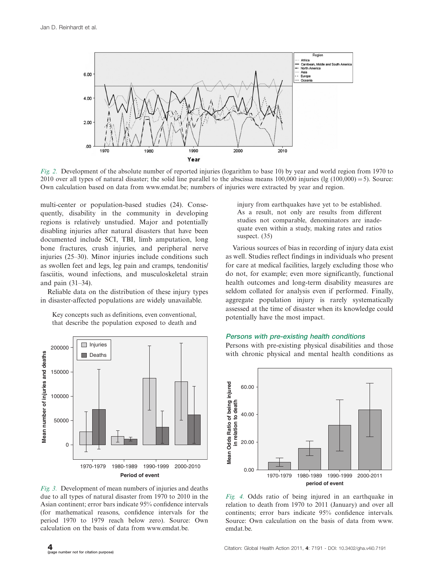

Fig. 2. Development of the absolute number of reported injuries (logarithm to base 10) by year and world region from 1970 to 2010 over all types of natural disaster; the solid line parallel to the abscissa means  $100,000$  injuries ( $\lg(100,000) = 5$ ). Source: Own calculation based on data from [www.emdat.be](http://www.emdat.be); numbers of injuries were extracted by year and region.

multi-center or population-based studies (24). Consequently, disability in the community in developing regions is relatively unstudied. Major and potentially disabling injuries after natural disasters that have been documented include SCI, TBI, limb amputation, long bone fractures, crush injuries, and peripheral nerve injuries (25–30). Minor injuries include conditions such as swollen feet and legs, leg pain and cramps, tendonitis/ fasciitis, wound infections, and musculoskeletal strain and pain  $(31-34)$ .

Reliable data on the distribution of these injury types in disaster-affected populations are widely unavailable.

Key concepts such as definitions, even conventional, that describe the population exposed to death and



Fig. 3. Development of mean numbers of injuries and deaths due to all types of natural disaster from 1970 to 2010 in the Asian continent; error bars indicate 95% confidence intervals (for mathematical reasons, confidence intervals for the period 1970 to 1979 reach below zero). Source: Own calculation on the basis of data from [www.emdat.be.](http://www.emdat.be)

injury from earthquakes have yet to be established. As a result, not only are results from different studies not comparable, denominators are inadequate even within a study, making rates and ratios suspect. (35)

Various sources of bias in recording of injury data exist as well. Studies reflect findings in individuals who present for care at medical facilities, largely excluding those who do not, for example; even more significantly, functional health outcomes and long-term disability measures are seldom collated for analysis even if performed. Finally, aggregate population injury is rarely systematically assessed at the time of disaster when its knowledge could potentially have the most impact.

#### Persons with pre-existing health conditions

Persons with pre-existing physical disabilities and those with chronic physical and mental health conditions as



Fig. 4. Odds ratio of being injured in an earthquake in relation to death from 1970 to 2011 (January) and over all continents; error bars indicate 95% confidence intervals. Source: Own calculation on the basis of data from [www.](http://www.emdat.be) [emdat.be.](http://www.emdat.be)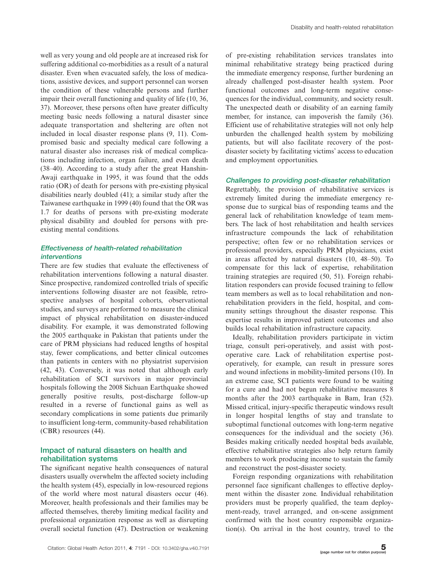well as very young and old people are at increased risk for suffering additional co-morbidities as a result of a natural disaster. Even when evacuated safely, the loss of medications, assistive devices, and support personnel can worsen the condition of these vulnerable persons and further impair their overall functioning and quality of life (10, 36, 37). Moreover, these persons often have greater difficulty meeting basic needs following a natural disaster since adequate transportation and sheltering are often not included in local disaster response plans (9, 11). Compromised basic and specialty medical care following a natural disaster also increases risk of medical complications including infection, organ failure, and even death (38-40). According to a study after the great Hanshin-Awaji earthquake in 1995, it was found that the odds ratio (OR) of death for persons with pre-existing physical disabilities nearly doubled (41); a similar study after the Taiwanese earthquake in 1999 (40) found that the OR was 1.7 for deaths of persons with pre-existing moderate physical disability and doubled for persons with preexisting mental conditions.

## Effectiveness of health-related rehabilitation interventions

There are few studies that evaluate the effectiveness of rehabilitation interventions following a natural disaster. Since prospective, randomized controlled trials of specific interventions following disaster are not feasible, retrospective analyses of hospital cohorts, observational studies, and surveys are performed to measure the clinical impact of physical rehabilitation on disaster-induced disability. For example, it was demonstrated following the 2005 earthquake in Pakistan that patients under the care of PRM physicians had reduced lengths of hospital stay, fewer complications, and better clinical outcomes than patients in centers with no physiatrist supervision (42, 43). Conversely, it was noted that although early rehabilitation of SCI survivors in major provincial hospitals following the 2008 Sichuan Earthquake showed generally positive results, post-discharge follow-up resulted in a reverse of functional gains as well as secondary complications in some patients due primarily to insufficient long-term, community-based rehabilitation (CBR) resources (44).

# Impact of natural disasters on health and rehabilitation systems

The significant negative health consequences of natural disasters usually overwhelm the affected society including the health system (45), especially in low-resourced regions of the world where most natural disasters occur (46). Moreover, health professionals and their families may be affected themselves, thereby limiting medical facility and professional organization response as well as disrupting overall societal function (47). Destruction or weakening of pre-existing rehabilitation services translates into minimal rehabilitative strategy being practiced during the immediate emergency response, further burdening an already challenged post-disaster health system. Poor functional outcomes and long-term negative consequences for the individual, community, and society result. The unexpected death or disability of an earning family member, for instance, can impoverish the family (36). Efficient use of rehabilitative strategies will not only help unburden the challenged health system by mobilizing patients, but will also facilitate recovery of the postdisaster society by facilitating victims' access to education and employment opportunities.

#### Challenges to providing post-disaster rehabilitation

Regrettably, the provision of rehabilitative services is extremely limited during the immediate emergency response due to surgical bias of responding teams and the general lack of rehabilitation knowledge of team members. The lack of host rehabilitation and health services infrastructure compounds the lack of rehabilitation perspective; often few or no rehabilitation services or professional providers, especially PRM physicians, exist in areas affected by natural disasters  $(10, 48-50)$ . To compensate for this lack of expertise, rehabilitation training strategies are required (50, 51). Foreign rehabilitation responders can provide focused training to fellow team members as well as to local rehabilitation and nonrehabilitation providers in the field, hospital, and community settings throughout the disaster response. This expertise results in improved patient outcomes and also builds local rehabilitation infrastructure capacity.

Ideally, rehabilitation providers participate in victim triage, consult peri-operatively, and assist with postoperative care. Lack of rehabilitation expertise postoperatively, for example, can result in pressure sores and wound infections in mobility-limited persons (10). In an extreme case, SCI patients were found to be waiting for a cure and had not begun rehabilitative measures 8 months after the 2003 earthquake in Bam, Iran (52). Missed critical, injury-specific therapeutic windows result in longer hospital lengths of stay and translate to suboptimal functional outcomes with long-term negative consequences for the individual and the society (36). Besides making critically needed hospital beds available, effective rehabilitative strategies also help return family members to work producing income to sustain the family and reconstruct the post-disaster society.

Foreign responding organizations with rehabilitation personnel face significant challenges to effective deployment within the disaster zone. Individual rehabilitation providers must be properly qualified, the team deployment-ready, travel arranged, and on-scene assignment confirmed with the host country responsible organization(s). On arrival in the host country, travel to the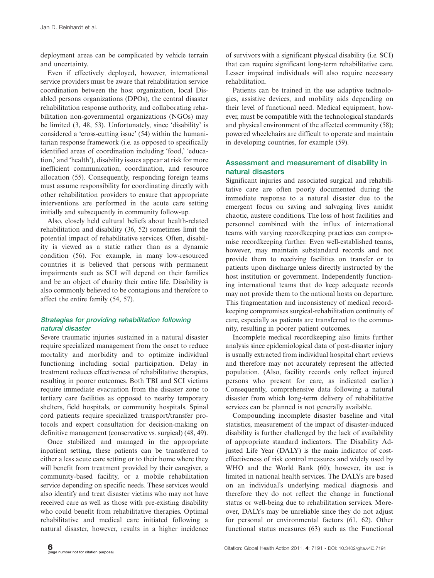deployment areas can be complicated by vehicle terrain and uncertainty.

Even if effectively deployed, however, international service providers must be aware that rehabilitation service coordination between the host organization, local Disabled persons organizations (DPOs), the central disaster rehabilitation response authority, and collaborating rehabilitation non-governmental organizations (NGOs) may be limited (3, 48, 53). Unfortunately, since 'disability' is considered a 'cross-cutting issue' (54) within the humanitarian response framework (i.e. as opposed to specifically identified areas of coordination including 'food,' 'education,' and 'health'), disability issues appear at risk for more inefficient communication, coordination, and resource allocation (55). Consequently, responding foreign teams must assume responsibility for coordinating directly with other rehabilitation providers to ensure that appropriate interventions are performed in the acute care setting initially and subsequently in community follow-up.

Also, closely held cultural beliefs about health-related rehabilitation and disability (36, 52) sometimes limit the potential impact of rehabilitative services. Often, disability is viewed as a static rather than as a dynamic condition (56). For example, in many low-resourced countries it is believed that persons with permanent impairments such as SCI will depend on their families and be an object of charity their entire life. Disability is also commonly believed to be contagious and therefore to affect the entire family (54, 57).

# Strategies for providing rehabilitation following natural disaster

Severe traumatic injuries sustained in a natural disaster require specialized management from the onset to reduce mortality and morbidity and to optimize individual functioning including social participation. Delay in treatment reduces effectiveness of rehabilitative therapies, resulting in poorer outcomes. Both TBI and SCI victims require immediate evacuation from the disaster zone to tertiary care facilities as opposed to nearby temporary shelters, field hospitals, or community hospitals. Spinal cord patients require specialized transport/transfer protocols and expert consultation for decision-making on definitive management (conservative vs. surgical) (48, 49).

Once stabilized and managed in the appropriate inpatient setting, these patients can be transferred to either a less acute care setting or to their home where they will benefit from treatment provided by their caregiver, a community-based facility, or a mobile rehabilitation service depending on specific needs. These services would also identify and treat disaster victims who may not have received care as well as those with pre-existing disability who could benefit from rehabilitative therapies. Optimal rehabilitative and medical care initiated following a natural disaster, however, results in a higher incidence

of survivors with a significant physical disability (i.e. SCI) that can require significant long-term rehabilitative care. Lesser impaired individuals will also require necessary rehabilitation.

Patients can be trained in the use adaptive technologies, assistive devices, and mobility aids depending on their level of functional need. Medical equipment, however, must be compatible with the technological standards and physical environment of the affected community (58); powered wheelchairs are difficult to operate and maintain in developing countries, for example (59).

# Assessment and measurement of disability in natural disasters

Significant injuries and associated surgical and rehabilitative care are often poorly documented during the immediate response to a natural disaster due to the emergent focus on saving and salvaging lives amidst chaotic, austere conditions. The loss of host facilities and personnel combined with the influx of international teams with varying recordkeeping practices can compromise recordkeeping further. Even well-established teams, however, may maintain substandard records and not provide them to receiving facilities on transfer or to patients upon discharge unless directly instructed by the host institution or government. Independently functioning international teams that do keep adequate records may not provide them to the national hosts on departure. This fragmentation and inconsistency of medical recordkeeping compromises surgical-rehabilitation continuity of care, especially as patients are transferred to the community, resulting in poorer patient outcomes.

Incomplete medical recordkeeping also limits further analysis since epidemiological data of post-disaster injury is usually extracted from individual hospital chart reviews and therefore may not accurately represent the affected population. (Also, facility records only reflect injured persons who present for care, as indicated earlier.) Consequently, comprehensive data following a natural disaster from which long-term delivery of rehabilitative services can be planned is not generally available.

Compounding incomplete disaster baseline and vital statistics, measurement of the impact of disaster-induced disability is further challenged by the lack of availability of appropriate standard indicators. The Disability Adjusted Life Year (DALY) is the main indicator of costeffectiveness of risk control measures and widely used by WHO and the World Bank (60); however, its use is limited in national health services. The DALYs are based on an individual's underlying medical diagnosis and therefore they do not reflect the change in functional status or well-being due to rehabilitation services. Moreover, DALYs may be unreliable since they do not adjust for personal or environmental factors (61, 62). Other functional status measures (63) such as the Functional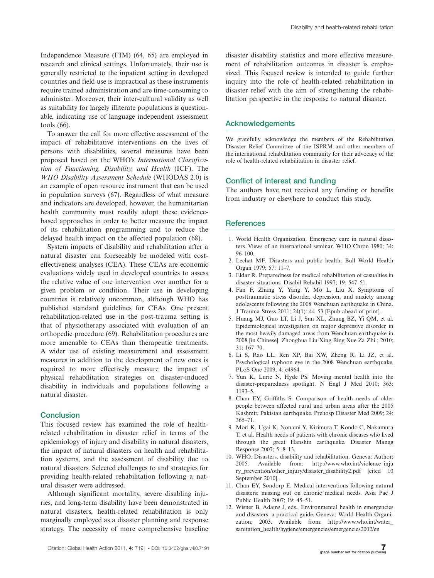Independence Measure (FIM) (64, 65) are employed in research and clinical settings. Unfortunately, their use is generally restricted to the inpatient setting in developed countries and field use is impractical as these instruments require trained administration and are time-consuming to administer. Moreover, their inter-cultural validity as well as suitability for largely illiterate populations is questionable, indicating use of language independent assessment tools (66).

To answer the call for more effective assessment of the impact of rehabilitative interventions on the lives of persons with disabilities, several measures have been proposed based on the WHO's International Classification of Functioning, Disability, and Health (ICF). The WHO Disability Assessment Schedule (WHODAS 2.0) is an example of open resource instrument that can be used in population surveys (67). Regardless of what measure and indicators are developed, however, the humanitarian health community must readily adopt these evidencebased approaches in order to better measure the impact of its rehabilitation programming and to reduce the delayed health impact on the affected population (68).

System impacts of disability and rehabilitation after a natural disaster can foreseeably be modeled with costeffectiveness analyses (CEA). These CEAs are economic evaluations widely used in developed countries to assess the relative value of one intervention over another for a given problem or condition. Their use in developing countries is relatively uncommon, although WHO has published standard guidelines for CEAs. One present rehabilitation-related use in the post-trauma setting is that of physiotherapy associated with evaluation of an orthopedic procedure (69). Rehabilitation procedures are more amenable to CEAs than therapeutic treatments. A wider use of existing measurement and assessment measures in addition to the development of new ones is required to more effectively measure the impact of physical rehabilitation strategies on disaster-induced disability in individuals and populations following a natural disaster.

## **Conclusion**

This focused review has examined the role of healthrelated rehabilitation in disaster relief in terms of the epidemiology of injury and disability in natural disasters, the impact of natural disasters on health and rehabilitation systems, and the assessment of disability due to natural disasters. Selected challenges to and strategies for providing health-related rehabilitation following a natural disaster were addressed.

Although significant mortality, severe disabling injuries, and long-term disability have been demonstrated in natural disasters, health-related rehabilitation is only marginally employed as a disaster planning and response strategy. The necessity of more comprehensive baseline disaster disability statistics and more effective measurement of rehabilitation outcomes in disaster is emphasized. This focused review is intended to guide further inquiry into the role of health-related rehabilitation in disaster relief with the aim of strengthening the rehabilitation perspective in the response to natural disaster.

## Acknowledgements

We gratefully acknowledge the members of the Rehabilitation Disaster Relief Committee of the ISPRM and other members of the international rehabilitation community for their advocacy of the role of health-related rehabilitation in disaster relief.

## Conflict of interest and funding

The authors have not received any funding or benefits from industry or elsewhere to conduct this study.

#### **References**

- 1. World Health Organization. Emergency care in natural disasters. Views of an international seminar. WHO Chron 1980; 34:  $96 - 100$
- 2. Lechat MF. Disasters and public health. Bull World Health Organ 1979: 57: 11-7.
- 3. Eldar R. Preparedness for medical rehabilitation of casualties in disaster situations. Disabil Rehabil 1997; 19: 547-51.
- 4. Fan F, Zhang Y, Yang Y, Mo L, Liu X. Symptoms of posttraumatic stress disorder, depression, and anxiety among adolescents following the 2008 Wenchuan earthquake in China. J Trauma Stress 2011; 24(1): 4453 [Epub ahead of print].
- 5. Huang MJ, Guo LT, Li J, Sun XL, Zhang BZ, Yi QM, et al. Epidemiological investigation on major depressive disorder in the most heavily damaged areas from Wenchuan earthquake in 2008 [in Chinese]. Zhonghua Liu Xing Bing Xue Za Zhi ; 2010;  $31: 167 - 70.$
- 6. Li S, Rao LL, Ren XP, Bai XW, Zheng R, Li JZ, et al. Psychological typhoon eye in the 2008 Wenchuan earthquake. PLoS One 2009; 4: e4964.
- 7. Yun K, Lurie N, Hyde PS. Moving mental health into the disaster-preparedness spotlight. N Engl J Med 2010; 363:  $1193 - 5.$
- 8. Chan EY, Griffiths S. Comparison of health needs of older people between affected rural and urban areas after the 2005 Kashmir, Pakistan earthquake. Prehosp Disaster Med 2009; 24:  $365 - 71$ .
- 9. Mori K, Ugai K, Nonami Y, Kirimura T, Kondo C, Nakamura T, et al. Health needs of patients with chronic diseases who lived through the great Hanshin earthquake. Disaster Manag Response 2007; 5: 8-13.
- 10. WHO. Disasters, disability and rehabilitation. Geneva: Author; 2005. Available from: [http://www.who.int/violence\\_inju](http://www.who.int/violence_injury_prevention/other_injury/disaster_disability2.pdf) [ry\\_prevention/other\\_injury/disaster\\_disability2.pdf](http://www.who.int/violence_injury_prevention/other_injury/disaster_disability2.pdf) [cited 10 September 2010].
- 11. Chan EY, Sondorp E. Medical interventions following natural disasters: missing out on chronic medical needs. Asia Pac J Public Health 2007; 19: 45-51.
- 12. Wisner B, Adams J, eds., Environmental health in emergencies and disasters: a practical guide. Geneva: World Health Organization; 2003. Available from: [http://www.who.int/water\\_](http://www.who.int/water_sanitation_health/hygiene/emergencies/emergencies2002/en) [sanitation\\_health/hygiene/emergencies/emergencies2002/en](http://www.who.int/water_sanitation_health/hygiene/emergencies/emergencies2002/en)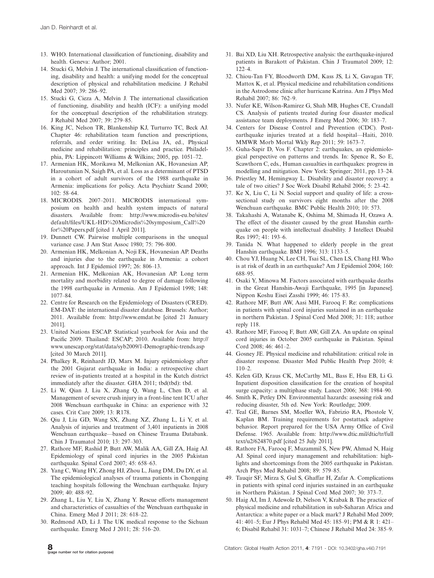- 13. WHO. International classification of functioning, disability and health. Geneva: Author; 2001.
- 14. Stucki G, Melvin J. The international classification of functioning, disability and health: a unifying model for the conceptual description of physical and rehabilitation medicine. J Rehabil Med 2007: 39: 286-92.
- 15. Stucki G, Cieza A, Melvin J. The international classification of functioning, disability and health (ICF): a unifying model for the conceptual description of the rehabilitation strategy. J Rehabil Med 2007; 39: 279-85.
- 16. King JC, Nelson TR, Blankenship KJ, Turturro TC, Beck AJ. Chapter 46: rehabilitation team function and prescriptions, referrals, and order writing. In: DeLisa JA, ed., Physical medicine and rehabilitation: principles and practice. Philadelphia, PA: Lippincott Williams  $&$  Wilkins; 2005, pp. 1051–72.
- 17. Armenian HK, Morikawa M, Melkonian AK, Hovanesian AP, Haroutunian N, Saigh PA, et al. Loss as a determinant of PTSD in a cohort of adult survivors of the 1988 earthquake in Armenia: implications for policy. Acta Psychiatr Scand 2000;  $102 \cdot 58 - 64$
- 18. MICRODIS. 2007-2011. MICRODIS international symposium on health and health system impacts of natural disasters. Available from: [http://www.microdis-eu.be/sites/](http://www.microdis-eu.be/sites/default/files/UKL-HD%20Microdis%20symposium_Call%20for%20Papers.pdf) [default/files/UKL-HD%20Microdis%20symposium\\_Call%20](http://www.microdis-eu.be/sites/default/files/UKL-HD%20Microdis%20symposium_Call%20for%20Papers.pdf) [for%20Papers.pdf](http://www.microdis-eu.be/sites/default/files/UKL-HD%20Microdis%20symposium_Call%20for%20Papers.pdf) [cited 1 April 2011].
- 19. Dunnett CW. Pairwise multiple comparisons in the unequal variance case. J Am Stat Assoc 1980; 75: 796-800.
- 20. Armenian HK, Melkonian A, Noji EK, Hovanesian AP. Deaths and injuries due to the earthquake in Armenia: a cohort approach. Int J Epidemiol 1997; 26: 806-13.
- 21. Armenian HK, Melkonian AK, Hovanesian AP. Long term mortality and morbidity related to degree of damage following the 1998 earthquake in Armenia. Am J Epidemiol 1998; 148: 1077-84
- 22. Centre for Research on the Epidemiology of Disasters (CRED). EM-DAT: the international disaster database. Brussels: Author; 2011. Available from:<http://www.emdat.be> [cited 21 January 2011].
- 23. United Nations ESCAP. Statistical yearbook for Asia and the Pacific 2009. Thailand: ESCAP; 2010. Available from: [http://](http://www.unescap.org/stat/data/syb2009/1-Demographic-trends.asp) [www.unescap.org/stat/data/syb2009/1-Demographic-trends.asp](http://www.unescap.org/stat/data/syb2009/1-Demographic-trends.asp) [cited 30 March 2011].
- 24. Phalkey R, Reinhardt JD, Marx M. Injury epidemiology after the 2001 Gujarat earthquake in India: a retrospective chart review of in-patients treated at a hospital in the Kutch district immediately after the disaster. GHA 2011; tbd(tbd): tbd.
- 25. Li W, Qian J, Liu X, Zhang Q, Wang L, Chen D, et al. Management of severe crush injury in a front-line tent ICU after 2008 Wenchuan earthquake in China: an experience with 32 cases. Crit Care 2009; 13: R178.
- 26. Qiu J, Liu GD, Wang SX, Zhang XZ, Zhang L, Li Y, et al. Analysis of injuries and treatment of 3,401 inpatients in 2008 Wenchuan earthquake—based on Chinese Trauma Databank. Chin J Traumatol 2010: 13: 297-303.
- 27. Rathore MF, Rashid P, Butt AW, Malik AA, Gill ZA, Haig AJ. Epidemiology of spinal cord injuries in the 2005 Pakistan earthquake. Spinal Cord 2007; 45: 658-63.
- 28. Yang C, Wang HY, Zhong HJ, Zhou L, Jiang DM, Du DY, et al. The epidemiological analyses of trauma patients in Chongqing teaching hospitals following the Wenchuan earthquake. Injury 2009; 40: 488-92.
- 29. Zhang L, Liu Y, Liu X, Zhang Y. Rescue efforts management and characteristics of casualties of the Wenchuan earthquake in China. Emerg Med J 2011: 28: 618-22.
- 30. Redmond AD, Li J. The UK medical response to the Sichuan earthquake. Emerg Med J 2011; 28: 516-20.
- 31. Bai XD, Liu XH. Retrospective analysis: the earthquake-injured patients in Barakott of Pakistan. Chin J Traumatol 2009; 12:  $122 - 4.$
- 32. Chiou-Tan FY, Bloodworth DM, Kass JS, Li X, Gavagan TF, Mattox K, et al. Physical medicine and rehabilitation conditions in the Astrodome clinic after hurricane Katrina. Am J Phys Med Rehabil 2007; 86: 762-9.
- 33. Nufer KE, Wilson-Ramirez G, Shah MB, Hughes CE, Crandall CS. Analysis of patients treated during four disaster medical assistance team deployments. J Emerg Med 2006; 30: 183-7.
- 34. Centers for Disease Control and Prevention (CDC). Postearthquake injuries treated at a field hospital-Haiti, 2010. MMWR Morb Mortal Wkly Rep 2011; 59: 1673-7.
- 35. Guha-Sapir D, Vos F. Chapter 2: earthquakes, an epidemiological perspective on patterns and trends. In: Spence R, So E, Scawthorn C, eds., Human casualties in earthquakes: progress in modelling and mitigation. New York: Springer; 2011, pp. 13–24.
- 36. Priestley M, Hemingway L. Disability and disaster recovery: a tale of two cities? J Soc Work Disabil Rehabil 2006: 5: 23–42.
- 37. Ke X, Liu C, Li N. Social support and quality of life: a crosssectional study on survivors eight months after the 2008 Wenchuan earthquake. BMC Public Health 2010; 10: 573.
- 38. Takahashi A, Watanabe K, Oshima M, Shimada H, Ozawa A. The effect of the disaster caused by the great Hanshin earthquake on people with intellectual disability. J Intellect Disabil Res 1997; 41: 193-6.
- 39. Tanida N. What happened to elderly people in the great Hanshin earthquake. BMJ 1996; 313: 1133-5.
- 40. Chou YJ, Huang N, Lee CH, Tsai SL, Chen LS, Chang HJ. Who is at risk of death in an earthquake? Am J Epidemiol 2004; 160: 688-95
- 41. Osaki Y, Minowa M. Factors associated with earthquake deaths in the Great Hanshin-Awaji Earthquake, 1995 [in Japanese]. Nippon Koshu Eisei Zasshi 1999; 46: 175-83.
- 42. Rathore MF, Butt AW, Aasi MH, Farooq F. Re: complications in patients with spinal cord injuries sustained in an earthquake in northern Pakistan. J Spinal Cord Med 2008; 31: 118; author reply 118.
- 43. Rathore MF, Farooq F, Butt AW, Gill ZA. An update on spinal cord injuries in October 2005 earthquake in Pakistan. Spinal Cord 2008; 46: 461-2.
- 44. Gosney JE. Physical medicine and rehabilitation: critical role in disaster response. Disaster Med Public Health Prep 2010; 4:  $110 - 2$ .
- 45. Kelen GD, Kraus CK, McCarthy ML, Bass E, Hsu EB, Li G. Inpatient disposition classification for the creation of hospital surge capacity: a multiphase study. Lancet 2006; 368: 1984-90.
- 46. Smith K, Petley DN. Environmental hazards: assessing risk and reducing disaster, 5th ed. New York: Routledge; 2009.
- 47. Teal GE, Barnes SM, Moeller WA, Fabrizio RA, Phostole V, Kaplan BM. Training requirements for postattack adaptive behavior. Report prepared for the USA Army Office of Civil Defense. 1965. Available from: [http://www.dtic.mil/dtic/tr/full](http://www.dtic.mil/dtic/tr/fulltext/u2/624870.pdf) [text/u2/624870.pdf](http://www.dtic.mil/dtic/tr/fulltext/u2/624870.pdf) [cited 25 July 2011].
- 48. Rathore FA, Farooq F, Muzammil S, New PW, Ahmad N, Haig AJ. Spinal cord injury management and rehabilitation: highlights and shortcomings from the 2005 earthquake in Pakistan. Arch Phys Med Rehabil 2008; 89: 579-85.
- 49. Tauqir SF, Mirza S, Gul S, Ghaffar H, Zafar A. Complications in patients with spinal cord injuries sustained in an earthquake in Northern Pakistan. J Spinal Cord Med 2007; 30: 373-7.
- 50. Haig AJ, Im J, Adewole D, Nelson V, Krabak B. The practice of physical medicine and rehabilitation in sub-Saharan Africa and Antarctica: a white paper or a black mark? J Rehabil Med 2009; 41: 401-5; Eur J Phys Rehabil Med 45: 185-91; PM & R 1: 421-6; Disabil Rehabil 31: 1031-7; Chinese J Rehabil Med 24: 385-9.